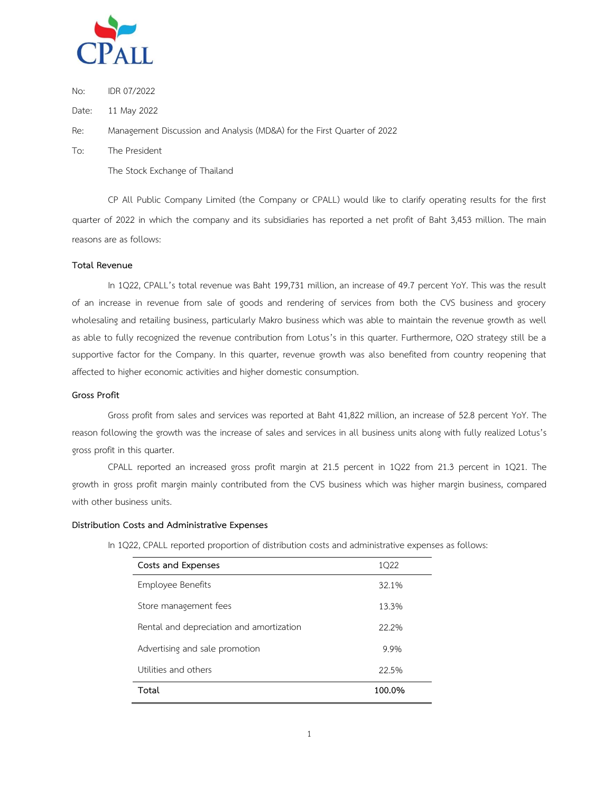

No: IDR 07/2022

Date: 11 May 2022

Re: Management Discussion and Analysis (MD&A) for the First Quarter of 2022

To: The President

The Stock Exchange of Thailand

CP All Public Company Limited (the Company or CPALL) would like to clarify operating results for the first quarter of 2022 in which the company and its subsidiaries has reported a net profit of Baht 3,453 million. The main reasons are as follows:

### **Total Revenue**

In 1Q22, CPALL's total revenue was Baht 199,731 million, an increase of 49.7 percent YoY. This was the result of an increase in revenue from sale of goods and rendering of services from both the CVS business and grocery wholesaling and retailing business, particularly Makro business which was able to maintain the revenue growth as well as able to fully recognized the revenue contribution from Lotus's in this quarter. Furthermore, O2O strategy still be a supportive factor for the Company. In this quarter, revenue growth was also benefited from country reopening that affected to higher economic activities and higher domestic consumption.

## **Gross Profit**

Gross profit from sales and services was reported at Baht 41,822 million, an increase of 52.8 percent YoY. The reason following the growth was the increase of sales and services in all business units along with fully realized Lotus's gross profit in this quarter.

CPALL reported an increased gross profit margin at 21.5 percent in 1Q22 from 21.3 percent in 1Q21. The growth in gross profit margin mainly contributed from the CVS business which was higher margin business, compared with other business units.

### **Distribution Costs and Administrative Expenses**

In 1Q22, CPALL reported proportion of distribution costs and administrative expenses as follows:

| Costs and Expenses                       | 1022   |
|------------------------------------------|--------|
| Employee Benefits                        | 32.1%  |
| Store management fees                    | 13.3%  |
| Rental and depreciation and amortization | 22.2%  |
| Advertising and sale promotion           | 9.9%   |
| Utilities and others                     | 22.5%  |
| Total                                    | 100.0% |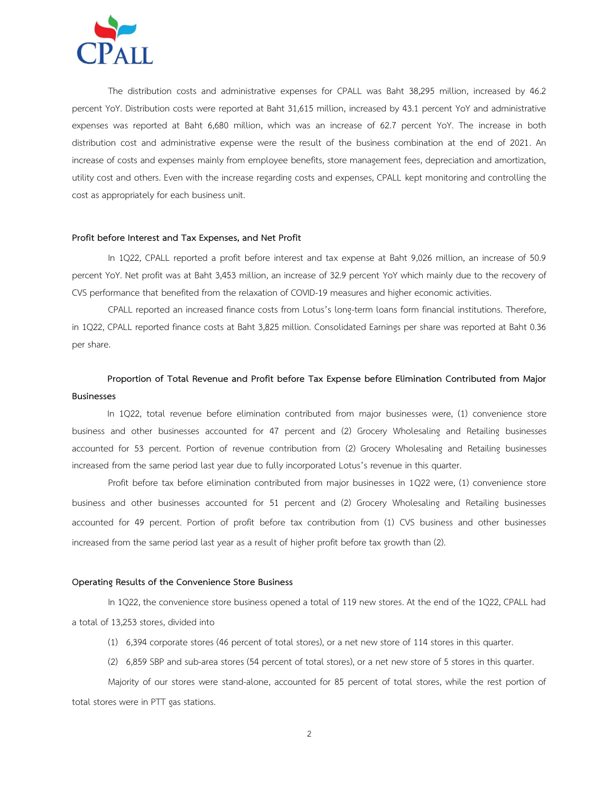

The distribution costs and administrative expenses for CPALL was Baht 38,295 million, increased by 46.2 percent YoY. Distribution costs were reported at Baht 31,615 million, increased by 43.1 percent YoY and administrative expenses was reported at Baht 6,680 million, which was an increase of 62.7 percent YoY. The increase in both distribution cost and administrative expense were the result of the business combination at the end of 2021. An increase of costs and expenses mainly from employee benefits, store management fees, depreciation and amortization, utility cost and others. Even with the increase regarding costs and expenses, CPALL kept monitoring and controlling the cost as appropriately for each business unit.

#### **Profit before Interest and Tax Expenses, and Net Profit**

In 1Q22, CPALL reported a profit before interest and tax expense at Baht 9,026 million, an increase of 50.9 percent YoY. Net profit was at Baht 3,453 million, an increase of 32.9 percent YoY which mainly due to the recovery of CVS performance that benefited from the relaxation of COVID-19 measures and higher economic activities.

CPALL reported an increased finance costs from Lotus's long-term loans form financial institutions. Therefore, in 1Q22, CPALL reported finance costs at Baht 3,825 million. Consolidated Earnings per share was reported at Baht 0.36 per share.

# **Proportion of Total Revenue and Profit before Tax Expense before Elimination Contributed from Major Businesses**

In 1Q22, total revenue before elimination contributed from major businesses were, (1) convenience store business and other businesses accounted for 47 percent and (2) Grocery Wholesaling and Retailing businesses accounted for 53 percent. Portion of revenue contribution from (2) Grocery Wholesaling and Retailing businesses increased from the same period last year due to fully incorporated Lotus's revenue in this quarter.

Profit before tax before elimination contributed from major businesses in 1Q22 were, (1) convenience store business and other businesses accounted for 51 percent and (2) Grocery Wholesaling and Retailing businesses accounted for 49 percent. Portion of profit before tax contribution from (1) CVS business and other businesses increased from the same period last year as a result of higher profit before tax growth than (2).

### **Operating Results of the Convenience Store Business**

In 1Q22, the convenience store business opened a total of 119 new stores. At the end of the 1Q22, CPALL had a total of 13,253 stores, divided into

- (1) 6,394 corporate stores (46 percent of total stores), or a net new store of 114 stores in this quarter.
- (2) 6,859 SBP and sub-area stores (54 percent of total stores), or a net new store of 5 stores in this quarter.

Majority of our stores were stand-alone, accounted for 85 percent of total stores, while the rest portion of total stores were in PTT gas stations.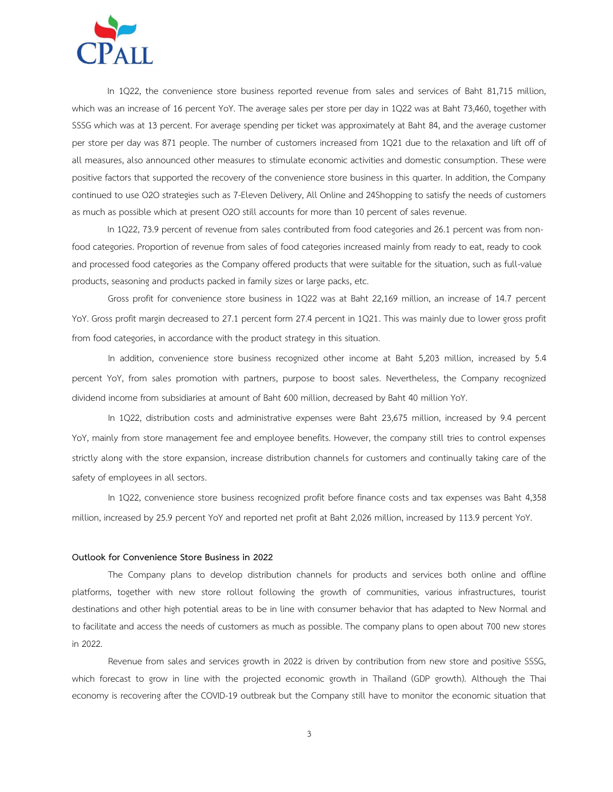

In 1Q22, the convenience store business reported revenue from sales and services of Baht 81,715 million, which was an increase of 16 percent YoY. The average sales per store per day in 1Q22 was at Baht 73,460, together with SSSG which was at 13 percent. For average spending per ticket was approximately at Baht 84, and the average customer per store per day was 871 people. The number of customers increased from 1Q21 due to the relaxation and lift off of all measures, also announced other measures to stimulate economic activities and domestic consumption. These were positive factors that supported the recovery of the convenience store business in this quarter. In addition, the Company continued to use O2O strategies such as 7-Eleven Delivery, All Online and 24Shopping to satisfy the needs of customers as much as possible which at present O2O still accounts for more than 10 percent of sales revenue.

In 1Q22, 73.9 percent of revenue from sales contributed from food categories and 26.1 percent was from nonfood categories. Proportion of revenue from sales of food categories increased mainly from ready to eat, ready to cook and processed food categories as the Company offered products that were suitable for the situation, such as full-value products, seasoning and products packed in family sizes or large packs, etc.

Gross profit for convenience store business in 1Q22 was at Baht 22,169 million, an increase of 14.7 percent YoY. Gross profit margin decreased to 27.1 percent form 27.4 percent in 1Q21. This was mainly due to lower gross profit from food categories, in accordance with the product strategy in this situation.

In addition, convenience store business recognized other income at Baht 5,203 million, increased by 5.4 percent YoY, from sales promotion with partners, purpose to boost sales. Nevertheless, the Company recognized dividend income from subsidiaries at amount of Baht 600 million, decreased by Baht 40 million YoY.

In 1Q22, distribution costs and administrative expenses were Baht 23,675 million, increased by 9.4 percent YoY, mainly from store management fee and employee benefits. However, the company still tries to control expenses strictly along with the store expansion, increase distribution channels for customers and continually taking care of the safety of employees in all sectors.

In 1Q22, convenience store business recognized profit before finance costs and tax expenses was Baht 4,358 million, increased by 25.9 percent YoY and reported net profit at Baht 2,026 million, increased by 113.9 percent YoY.

### **Outlook for Convenience Store Business in 2022**

The Company plans to develop distribution channels for products and services both online and offline platforms, together with new store rollout following the growth of communities, various infrastructures, tourist destinations and other high potential areas to be in line with consumer behavior that has adapted to New Normal and to facilitate and access the needs of customers as much as possible. The company plans to open about 700 new stores in 2022.

Revenue from sales and services growth in 2022 is driven by contribution from new store and positive SSSG, which forecast to grow in line with the projected economic growth in Thailand (GDP growth). Although the Thai economy is recovering after the COVID-19 outbreak but the Company still have to monitor the economic situation that